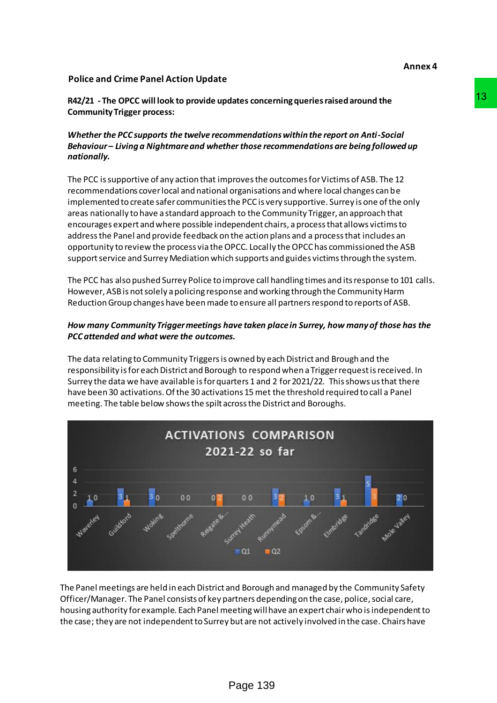## **Police and Crime Panel Action Update**

**R42/21 - The OPCC will look to provide updates concerning queries raised around the Community Trigger process:** 

## *Whether the PCC supports the twelve recommendations within the report on Anti-Social Behaviour – Living a Nightmare and whether those recommendations are being followed up nationally.*

The PCC is supportive of any action that improves the outcomes for Victims of ASB. The 12 recommendations cover local and national organisations and where local changes can be implemented to create safer communities the PCC is very supportive. Surrey is one of the only areas nationally to have a standard approach to the Community Trigger, an approach that encourages expert and where possible independent chairs, a process that allows victims to address the Panel and provide feedback on the action plans and a process that includes an opportunity to review the process via the OPCC. Locally the OPCC has commissioned the ASB support service and Surrey Mediation which supports and guides victims through the system.

The PCC has also pushed Surrey Police to improve call handling times and its response to 101 calls. However, ASB is not solely a policing response and working through the Community Harm Reduction Group changes have been made to ensure all partners respond to reports of ASB.

## *How many Community Trigger meetings have taken place in Surrey, how many of those has the PCC attended and what were the outcomes.*

The data relating to Community Triggers is owned by each District and Brough and the responsibility is for each District and Borough to respond when a Trigger request is received. In Surrey the data we have available is for quarters 1 and 2 for 2021/22. This shows us that there have been 30 activations. Of the 30 activations 15 met the threshold required to call a Panel meeting. The table below shows the spilt across the District and Boroughs.



The Panel meetings are held in each District and Borough and managed by the Community Safety Officer/Manager. The Panel consists of key partners depending on the case, police, social care, housing authority for example. Each Panel meeting will have an expert chair who is independent to the case; they are not independent to Surrey but are not actively involved in the case. Chairs have

**Annex 4**